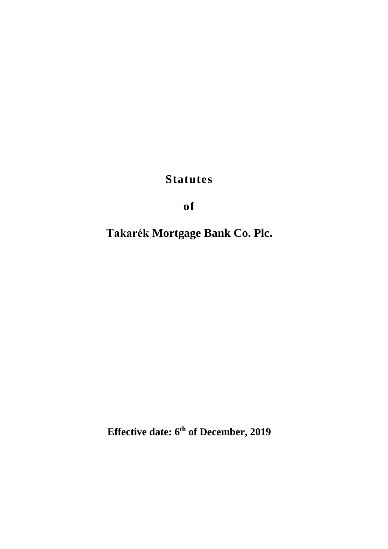**Statutes**

**of** 

**Takarék Mortgage Bank Co. Plc.**

**Effective date: 6 th of December, 2019**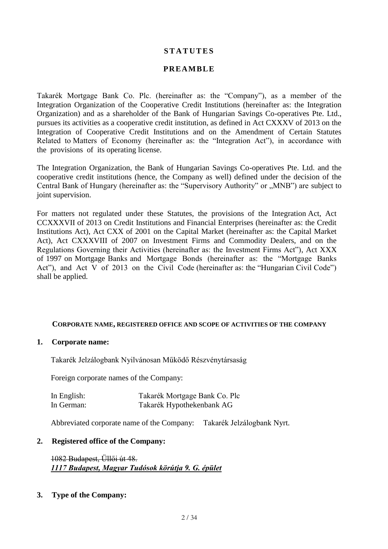## **S T A T U T E S**

### **PREAMBLE**

Takarék Mortgage Bank Co. Plc. (hereinafter as: the "Company"), as a member of the Integration Organization of the Cooperative Credit Institutions (hereinafter as: the Integration Organization) and as a shareholder of the Bank of Hungarian Savings Co-operatives Pte. Ltd., pursues its activities as a cooperative credit institution, as defined in Act CXXXV of 2013 on the Integration of Cooperative Credit Institutions and on the Amendment of Certain Statutes Related to Matters of Economy (hereinafter as: the "Integration Act"), in accordance with the provisions of its operating license.

The Integration Organization, the Bank of Hungarian Savings Co-operatives Pte. Ltd. and the cooperative credit institutions (hence, the Company as well) defined under the decision of the Central Bank of Hungary (hereinafter as: the "Supervisory Authority" or "MNB") are subject to joint supervision.

For matters not regulated under these Statutes, the provisions of the Integration Act, Act CCXXXVII of 2013 on Credit Institutions and Financial Enterprises (hereinafter as: the Credit Institutions Act), Act CXX of 2001 on the Capital Market (hereinafter as: the Capital Market Act), Act CXXXVIII of 2007 on Investment Firms and Commodity Dealers, and on the Regulations Governing their Activities (hereinafter as: the Investment Firms Act"), Act XXX of 1997 on Mortgage Banks and Mortgage Bonds (hereinafter as: the "Mortgage Banks Act"), and Act V of 2013 on the Civil Code (hereinafter as: the "Hungarian Civil Code") shall be applied.

#### **CORPORATE NAME, REGISTERED OFFICE AND SCOPE OF ACTIVITIES OF THE COMPANY**

#### **1. Corporate name:**

Takarék Jelzálogbank Nyilvánosan Működő Részvénytársaság

Foreign corporate names of the Company:

| In English: | Takarék Mortgage Bank Co. Plc |
|-------------|-------------------------------|
| In German:  | Takarék Hypothekenbank AG     |

Abbreviated corporate name of the Company: Takarék Jelzálogbank Nyrt.

#### **2. Registered office of the Company:**

1082 Budapest, Üllői út 48. *1117 Budapest, Magyar Tudósok körútja 9. G. épület*

#### **3. Type of the Company:**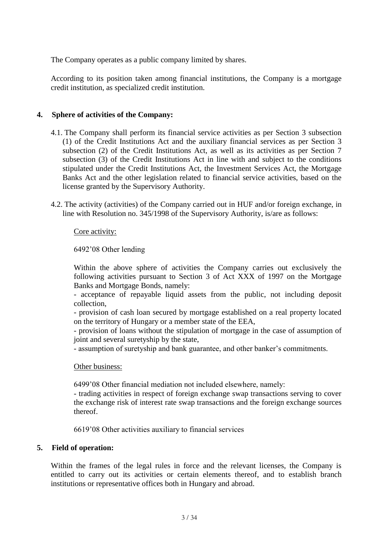The Company operates as a public company limited by shares.

According to its position taken among financial institutions, the Company is a mortgage credit institution, as specialized credit institution.

### **4. Sphere of activities of the Company:**

- 4.1. The Company shall perform its financial service activities as per Section 3 subsection (1) of the Credit Institutions Act and the auxiliary financial services as per Section 3 subsection (2) of the Credit Institutions Act, as well as its activities as per Section 7 subsection (3) of the Credit Institutions Act in line with and subject to the conditions stipulated under the Credit Institutions Act, the Investment Services Act, the Mortgage Banks Act and the other legislation related to financial service activities, based on the license granted by the Supervisory Authority.
- 4.2. The activity (activities) of the Company carried out in HUF and/or foreign exchange, in line with Resolution no. 345/1998 of the Supervisory Authority, is/are as follows:

### Core activity:

### 6492'08 Other lending

Within the above sphere of activities the Company carries out exclusively the following activities pursuant to Section 3 of Act XXX of 1997 on the Mortgage Banks and Mortgage Bonds, namely:

- acceptance of repayable liquid assets from the public, not including deposit collection,

- provision of cash loan secured by mortgage established on a real property located on the territory of Hungary or a member state of the EEA,

- provision of loans without the stipulation of mortgage in the case of assumption of joint and several suretyship by the state,

- assumption of suretyship and bank guarantee, and other banker's commitments.

#### Other business:

6499'08 Other financial mediation not included elsewhere, namely:

- trading activities in respect of foreign exchange swap transactions serving to cover the exchange risk of interest rate swap transactions and the foreign exchange sources thereof.

6619'08 Other activities auxiliary to financial services

#### **5. Field of operation:**

Within the frames of the legal rules in force and the relevant licenses, the Company is entitled to carry out its activities or certain elements thereof, and to establish branch institutions or representative offices both in Hungary and abroad.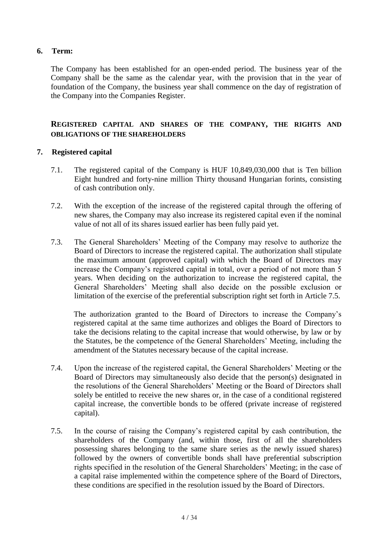## **6. Term:**

The Company has been established for an open-ended period. The business year of the Company shall be the same as the calendar year, with the provision that in the year of foundation of the Company, the business year shall commence on the day of registration of the Company into the Companies Register.

## **REGISTERED CAPITAL AND SHARES OF THE COMPANY, THE RIGHTS AND OBLIGATIONS OF THE SHAREHOLDERS**

## **7. Registered capital**

- 7.1. The registered capital of the Company is HUF 10,849,030,000 that is Ten billion Eight hundred and forty-nine million Thirty thousand Hungarian forints, consisting of cash contribution only.
- 7.2. With the exception of the increase of the registered capital through the offering of new shares, the Company may also increase its registered capital even if the nominal value of not all of its shares issued earlier has been fully paid yet.
- 7.3. The General Shareholders' Meeting of the Company may resolve to authorize the Board of Directors to increase the registered capital. The authorization shall stipulate the maximum amount (approved capital) with which the Board of Directors may increase the Company's registered capital in total, over a period of not more than 5 years. When deciding on the authorization to increase the registered capital, the General Shareholders' Meeting shall also decide on the possible exclusion or limitation of the exercise of the preferential subscription right set forth in Article 7.5.

The authorization granted to the Board of Directors to increase the Company's registered capital at the same time authorizes and obliges the Board of Directors to take the decisions relating to the capital increase that would otherwise, by law or by the Statutes, be the competence of the General Shareholders' Meeting, including the amendment of the Statutes necessary because of the capital increase.

- 7.4. Upon the increase of the registered capital, the General Shareholders' Meeting or the Board of Directors may simultaneously also decide that the person(s) designated in the resolutions of the General Shareholders' Meeting or the Board of Directors shall solely be entitled to receive the new shares or, in the case of a conditional registered capital increase, the convertible bonds to be offered (private increase of registered capital).
- 7.5. In the course of raising the Company's registered capital by cash contribution, the shareholders of the Company (and, within those, first of all the shareholders possessing shares belonging to the same share series as the newly issued shares) followed by the owners of convertible bonds shall have preferential subscription rights specified in the resolution of the General Shareholders' Meeting; in the case of a capital raise implemented within the competence sphere of the Board of Directors, these conditions are specified in the resolution issued by the Board of Directors.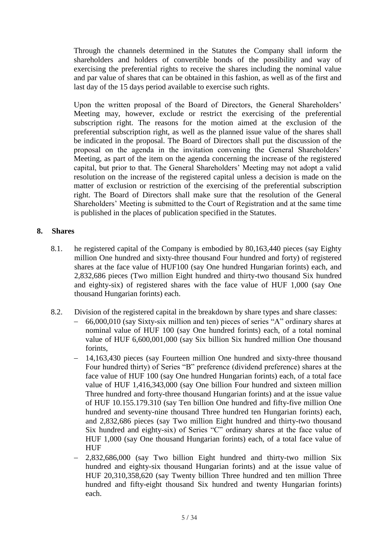Through the channels determined in the Statutes the Company shall inform the shareholders and holders of convertible bonds of the possibility and way of exercising the preferential rights to receive the shares including the nominal value and par value of shares that can be obtained in this fashion, as well as of the first and last day of the 15 days period available to exercise such rights.

Upon the written proposal of the Board of Directors, the General Shareholders' Meeting may, however, exclude or restrict the exercising of the preferential subscription right. The reasons for the motion aimed at the exclusion of the preferential subscription right, as well as the planned issue value of the shares shall be indicated in the proposal. The Board of Directors shall put the discussion of the proposal on the agenda in the invitation convening the General Shareholders' Meeting, as part of the item on the agenda concerning the increase of the registered capital, but prior to that. The General Shareholders' Meeting may not adopt a valid resolution on the increase of the registered capital unless a decision is made on the matter of exclusion or restriction of the exercising of the preferential subscription right. The Board of Directors shall make sure that the resolution of the General Shareholders' Meeting is submitted to the Court of Registration and at the same time is published in the places of publication specified in the Statutes.

## **8. Shares**

- 8.1. he registered capital of the Company is embodied by 80,163,440 pieces (say Eighty million One hundred and sixty-three thousand Four hundred and forty) of registered shares at the face value of HUF100 (say One hundred Hungarian forints) each, and 2,832,686 pieces (Two million Eight hundred and thirty-two thousand Six hundred and eighty-six) of registered shares with the face value of HUF 1,000 (say One thousand Hungarian forints) each.
- 8.2. Division of the registered capital in the breakdown by share types and share classes:
	- 66,000,010 (say Sixty-six million and ten) pieces of series "A" ordinary shares at nominal value of HUF 100 (say One hundred forints) each, of a total nominal value of HUF 6,600,001,000 (say Six billion Six hundred million One thousand forints,
	- 14,163,430 pieces (say Fourteen million One hundred and sixty-three thousand Four hundred thirty) of Series "B" preference (dividend preference) shares at the face value of HUF 100 (say One hundred Hungarian forints) each, of a total face value of HUF 1,416,343,000 (say One billion Four hundred and sixteen million Three hundred and forty-three thousand Hungarian forints) and at the issue value of HUF 10.155.179.310 (say Ten billion One hundred and fifty-five million One hundred and seventy-nine thousand Three hundred ten Hungarian forints) each, and 2,832,686 pieces (say Two million Eight hundred and thirty-two thousand Six hundred and eighty-six) of Series "C" ordinary shares at the face value of HUF 1,000 (say One thousand Hungarian forints) each, of a total face value of HUF
	- 2,832,686,000 (say Two billion Eight hundred and thirty-two million Six hundred and eighty-six thousand Hungarian forints) and at the issue value of HUF 20,310,358,620 (say Twenty billion Three hundred and ten million Three hundred and fifty-eight thousand Six hundred and twenty Hungarian forints) each.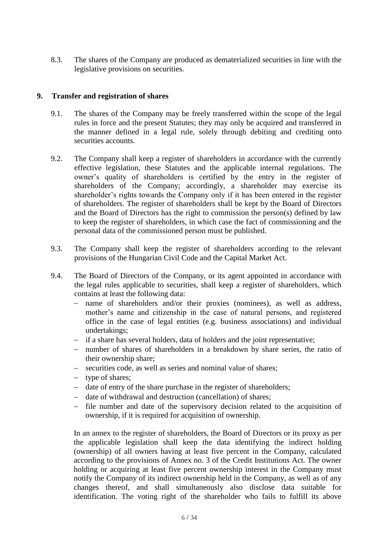8.3. The shares of the Company are produced as dematerialized securities in line with the legislative provisions on securities.

### **9. Transfer and registration of shares**

- 9.1. The shares of the Company may be freely transferred within the scope of the legal rules in force and the present Statutes; they may only be acquired and transferred in the manner defined in a legal rule, solely through debiting and crediting onto securities *accounts*.
- 9.2. The Company shall keep a register of shareholders in accordance with the currently effective legislation, these Statutes and the applicable internal regulations. The owner's quality of shareholders is certified by the entry in the register of shareholders of the Company; accordingly, a shareholder may exercise its shareholder's rights towards the Company only if it has been entered in the register of shareholders. The register of shareholders shall be kept by the Board of Directors and the Board of Directors has the right to commission the person(s) defined by law to keep the register of shareholders, in which case the fact of commissioning and the personal data of the commissioned person must be published.
- 9.3. The Company shall keep the register of shareholders according to the relevant provisions of the Hungarian Civil Code and the Capital Market Act.
- 9.4. The Board of Directors of the Company, or its agent appointed in accordance with the legal rules applicable to securities, shall keep a register of shareholders, which contains at least the following data:
	- name of shareholders and/or their proxies (nominees), as well as address, mother's name and citizenship in the case of natural persons, and registered office in the case of legal entities (e.g. business associations) and individual undertakings;
	- if a share has several holders, data of holders and the joint representative;
	- number of shares of shareholders in a breakdown by share series, the ratio of their ownership share;
	- securities code, as well as series and nominal value of shares;
	- type of shares;
	- date of entry of the share purchase in the register of shareholders;
	- date of withdrawal and destruction (cancellation) of shares;
	- file number and date of the supervisory decision related to the acquisition of ownership, if it is required for acquisition of ownership.

In an annex to the register of shareholders, the Board of Directors or its proxy as per the applicable legislation shall keep the data identifying the indirect holding (ownership) of all owners having at least five percent in the Company, calculated according to the provisions of Annex no. 3 of the Credit Institutions Act. The owner holding or acquiring at least five percent ownership interest in the Company must notify the Company of its indirect ownership held in the Company, as well as of any changes thereof, and shall simultaneously also disclose data suitable for identification. The voting right of the shareholder who fails to fulfill its above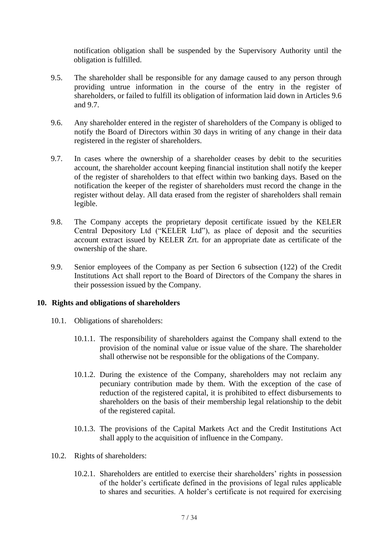notification obligation shall be suspended by the Supervisory Authority until the obligation is fulfilled.

- 9.5. The shareholder shall be responsible for any damage caused to any person through providing untrue information in the course of the entry in the register of shareholders, or failed to fulfill its obligation of information laid down in Articles 9.6 and 9.7.
- 9.6. Any shareholder entered in the register of shareholders of the Company is obliged to notify the Board of Directors within 30 days in writing of any change in their data registered in the register of shareholders.
- 9.7. In cases where the ownership of a shareholder ceases by debit to the securities account, the shareholder account keeping financial institution shall notify the keeper of the register of shareholders to that effect within two banking days. Based on the notification the keeper of the register of shareholders must record the change in the register without delay. All data erased from the register of shareholders shall remain legible.
- 9.8. The Company accepts the proprietary deposit certificate issued by the KELER Central Depository Ltd ("KELER Ltd"), as place of deposit and the securities account extract issued by KELER Zrt. for an appropriate date as certificate of the ownership of the share.
- 9.9. Senior employees of the Company as per Section 6 subsection (122) of the Credit Institutions Act shall report to the Board of Directors of the Company the shares in their possession issued by the Company.

#### **10. Rights and obligations of shareholders**

- 10.1. Obligations of shareholders:
	- 10.1.1. The responsibility of shareholders against the Company shall extend to the provision of the nominal value or issue value of the share. The shareholder shall otherwise not be responsible for the obligations of the Company.
	- 10.1.2. During the existence of the Company, shareholders may not reclaim any pecuniary contribution made by them. With the exception of the case of reduction of the registered capital, it is prohibited to effect disbursements to shareholders on the basis of their membership legal relationship to the debit of the registered capital.
	- 10.1.3. The provisions of the Capital Markets Act and the Credit Institutions Act shall apply to the acquisition of influence in the Company.
- 10.2. Rights of shareholders:
	- 10.2.1. Shareholders are entitled to exercise their shareholders' rights in possession of the holder's certificate defined in the provisions of legal rules applicable to shares and securities. A holder's certificate is not required for exercising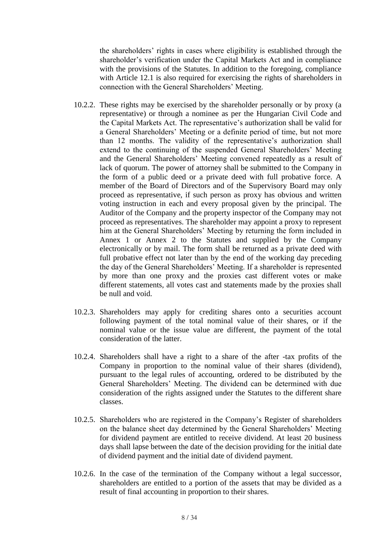the shareholders' rights in cases where eligibility is established through the shareholder's verification under the Capital Markets Act and in compliance with the provisions of the Statutes. In addition to the foregoing, compliance with Article 12.1 is also required for exercising the rights of shareholders in connection with the General Shareholders' Meeting.

- 10.2.2. These rights may be exercised by the shareholder personally or by proxy (a representative) or through a nominee as per the Hungarian Civil Code and the Capital Markets Act. The representative's authorization shall be valid for a General Shareholders' Meeting or a definite period of time, but not more than 12 months. The validity of the representative's authorization shall extend to the continuing of the suspended General Shareholders' Meeting and the General Shareholders' Meeting convened repeatedly as a result of lack of quorum. The power of attorney shall be submitted to the Company in the form of a public deed or a private deed with full probative force. A member of the Board of Directors and of the Supervisory Board may only proceed as representative, if such person as proxy has obvious and written voting instruction in each and every proposal given by the principal. The Auditor of the Company and the property inspector of the Company may not proceed as representatives. The shareholder may appoint a proxy to represent him at the General Shareholders' Meeting by returning the form included in Annex 1 or Annex 2 to the Statutes and supplied by the Company electronically or by mail. The form shall be returned as a private deed with full probative effect not later than by the end of the working day preceding the day of the General Shareholders' Meeting. If a shareholder is represented by more than one proxy and the proxies cast different votes or make different statements, all votes cast and statements made by the proxies shall be null and void.
- 10.2.3. Shareholders may apply for crediting shares onto a securities account following payment of the total nominal value of their shares, or if the nominal value or the issue value are different, the payment of the total consideration of the latter.
- 10.2.4. Shareholders shall have a right to a share of the after -tax profits of the Company in proportion to the nominal value of their shares (dividend), pursuant to the legal rules of accounting, ordered to be distributed by the General Shareholders' Meeting. The dividend can be determined with due consideration of the rights assigned under the Statutes to the different share classes.
- 10.2.5. Shareholders who are registered in the Company's Register of shareholders on the balance sheet day determined by the General Shareholders' Meeting for dividend payment are entitled to receive dividend. At least 20 business days shall lapse between the date of the decision providing for the initial date of dividend payment and the initial date of dividend payment.
- 10.2.6. In the case of the termination of the Company without a legal successor, shareholders are entitled to a portion of the assets that may be divided as a result of final accounting in proportion to their shares.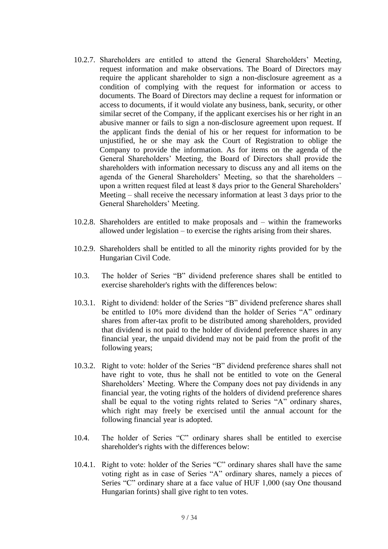- 10.2.7. Shareholders are entitled to attend the General Shareholders' Meeting, request information and make observations. The Board of Directors may require the applicant shareholder to sign a non-disclosure agreement as a condition of complying with the request for information or access to documents. The Board of Directors may decline a request for information or access to documents, if it would violate any business, bank, security, or other similar secret of the Company, if the applicant exercises his or her right in an abusive manner or fails to sign a non-disclosure agreement upon request. If the applicant finds the denial of his or her request for information to be unjustified, he or she may ask the Court of Registration to oblige the Company to provide the information. As for items on the agenda of the General Shareholders' Meeting, the Board of Directors shall provide the shareholders with information necessary to discuss any and all items on the agenda of the General Shareholders' Meeting, so that the shareholders – upon a written request filed at least 8 days prior to the General Shareholders' Meeting – shall receive the necessary information at least 3 days prior to the General Shareholders' Meeting.
- 10.2.8. Shareholders are entitled to make proposals and within the frameworks allowed under legislation – to exercise the rights arising from their shares.
- 10.2.9. Shareholders shall be entitled to all the minority rights provided for by the Hungarian Civil Code.
- 10.3. The holder of Series "B" dividend preference shares shall be entitled to exercise shareholder's rights with the differences below:
- 10.3.1. Right to dividend: holder of the Series "B" dividend preference shares shall be entitled to 10% more dividend than the holder of Series "A" ordinary shares from after-tax profit to be distributed among shareholders, provided that dividend is not paid to the holder of dividend preference shares in any financial year, the unpaid dividend may not be paid from the profit of the following years;
- 10.3.2. Right to vote: holder of the Series "B" dividend preference shares shall not have right to vote, thus he shall not be entitled to vote on the General Shareholders' Meeting. Where the Company does not pay dividends in any financial year, the voting rights of the holders of dividend preference shares shall be equal to the voting rights related to Series "A" ordinary shares, which right may freely be exercised until the annual account for the following financial year is adopted.
- 10.4. The holder of Series "C" ordinary shares shall be entitled to exercise shareholder's rights with the differences below:
- 10.4.1. Right to vote: holder of the Series "C" ordinary shares shall have the same voting right as in case of Series "A" ordinary shares, namely a pieces of Series "C" ordinary share at a face value of HUF 1,000 (say One thousand Hungarian forints) shall give right to ten votes.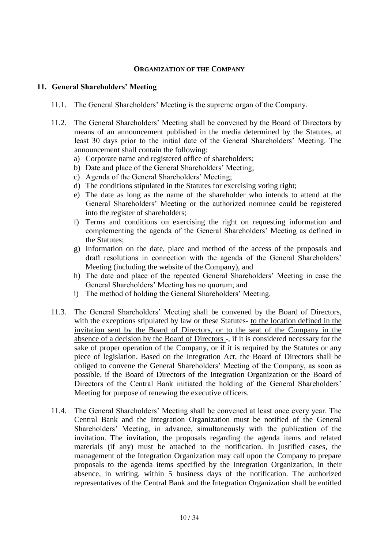## **ORGANIZATION OF THE COMPANY**

#### **11. General Shareholders' Meeting**

- 11.1. The General Shareholders' Meeting is the supreme organ of the Company.
- 11.2. The General Shareholders' Meeting shall be convened by the Board of Directors by means of an announcement published in the media determined by the Statutes, at least 30 days prior to the initial date of the General Shareholders' Meeting. The announcement shall contain the following:
	- a) Corporate name and registered office of shareholders;
	- b) Date and place of the General Shareholders' Meeting;
	- c) Agenda of the General Shareholders' Meeting;
	- d) The conditions stipulated in the Statutes for exercising voting right;
	- e) The date as long as the name of the shareholder who intends to attend at the General Shareholders' Meeting or the authorized nominee could be registered into the register of shareholders;
	- f) Terms and conditions on exercising the right on requesting information and complementing the agenda of the General Shareholders' Meeting as defined in the Statutes;
	- g) Information on the date, place and method of the access of the proposals and draft resolutions in connection with the agenda of the General Shareholders' Meeting (including the website of the Company), and
	- h) The date and place of the repeated General Shareholders' Meeting in case the General Shareholders' Meeting has no quorum; and
	- i) The method of holding the General Shareholders' Meeting.
- 11.3. The General Shareholders' Meeting shall be convened by the Board of Directors, with the exceptions stipulated by law or these Statutes- to the location defined in the invitation sent by the Board of Directors, or to the seat of the Company in the absence of a decision by the Board of Directors -, if it is considered necessary for the sake of proper operation of the Company, or if it is required by the Statutes or any piece of legislation. Based on the Integration Act, the Board of Directors shall be obliged to convene the General Shareholders' Meeting of the Company, as soon as possible, if the Board of Directors of the Integration Organization or the Board of Directors of the Central Bank initiated the holding of the General Shareholders' Meeting for purpose of renewing the executive officers.
- 11.4. The General Shareholders' Meeting shall be convened at least once every year. The Central Bank and the Integration Organization must be notified of the General Shareholders' Meeting, in advance, simultaneously with the publication of the invitation. The invitation, the proposals regarding the agenda items and related materials (if any) must be attached to the notification. In justified cases, the management of the Integration Organization may call upon the Company to prepare proposals to the agenda items specified by the Integration Organization, in their absence, in writing, within 5 business days of the notification. The authorized representatives of the Central Bank and the Integration Organization shall be entitled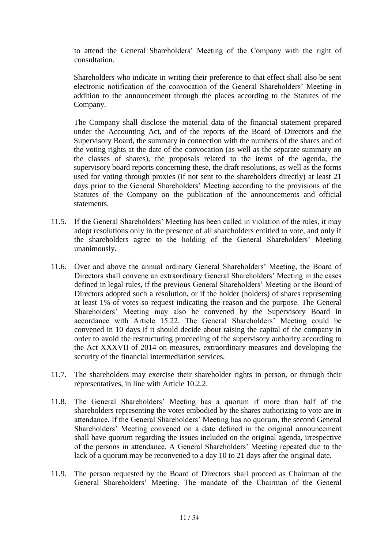to attend the General Shareholders' Meeting of the Company with the right of consultation.

Shareholders who indicate in writing their preference to that effect shall also be sent electronic notification of the convocation of the General Shareholders' Meeting in addition to the announcement through the places according to the Statutes of the Company.

The Company shall disclose the material data of the financial statement prepared under the Accounting Act, and of the reports of the Board of Directors and the Supervisory Board, the summary in connection with the numbers of the shares and of the voting rights at the date of the convocation (as well as the separate summary on the classes of shares), the proposals related to the items of the agenda, the supervisory board reports concerning these, the draft resolutions, as well as the forms used for voting through proxies (if not sent to the shareholders directly) at least 21 days prior to the General Shareholders' Meeting according to the provisions of the Statutes of the Company on the publication of the announcements and official statements.

- 11.5. If the General Shareholders' Meeting has been called in violation of the rules, it may adopt resolutions only in the presence of all shareholders entitled to vote, and only if the shareholders agree to the holding of the General Shareholders' Meeting unanimously.
- 11.6. Over and above the annual ordinary General Shareholders' Meeting, the Board of Directors shall convene an extraordinary General Shareholders' Meeting in the cases defined in legal rules, if the previous General Shareholders' Meeting or the Board of Directors adopted such a resolution, or if the holder (holders) of shares representing at least 1% of votes so request indicating the reason and the purpose. The General Shareholders' Meeting may also be convened by the Supervisory Board in accordance with Article 15.22. The General Shareholders' Meeting could be convened in 10 days if it should decide about raising the capital of the company in order to avoid the restructuring proceeding of the supervisory authority according to the Act XXXVII of 2014 on measures, extraordinary measures and developing the security of the financial intermediation services.
- 11.7. The shareholders may exercise their shareholder rights in person, or through their representatives, in line with Article 10.2.2.
- 11.8. The General Shareholders' Meeting has a quorum if more than half of the shareholders representing the votes embodied by the shares authorizing to vote are in attendance. If the General Shareholders' Meeting has no quorum, the second General Shareholders' Meeting convened on a date defined in the original announcement shall have quorum regarding the issues included on the original agenda, irrespective of the persons in attendance. A General Shareholders' Meeting repeated due to the lack of a quorum may be reconvened to a day 10 to 21 days after the original date.
- 11.9. The person requested by the Board of Directors shall proceed as Chairman of the General Shareholders' Meeting. The mandate of the Chairman of the General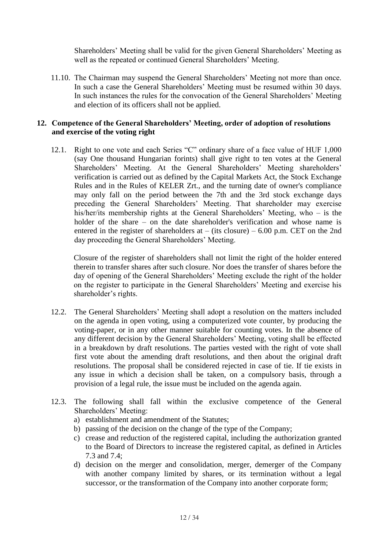Shareholders' Meeting shall be valid for the given General Shareholders' Meeting as well as the repeated or continued General Shareholders' Meeting.

11.10. The Chairman may suspend the General Shareholders' Meeting not more than once. In such a case the General Shareholders' Meeting must be resumed within 30 days. In such instances the rules for the convocation of the General Shareholders' Meeting and election of its officers shall not be applied.

### **12. Competence of the General Shareholders' Meeting, order of adoption of resolutions and exercise of the voting right**

12.1. Right to one vote and each Series "C" ordinary share of a face value of HUF 1,000 (say One thousand Hungarian forints) shall give right to ten votes at the General Shareholders' Meeting. At the General Shareholders' Meeting shareholders' verification is carried out as defined by the Capital Markets Act, the Stock Exchange Rules and in the Rules of KELER Zrt., and the turning date of owner's compliance may only fall on the period between the 7th and the 3rd stock exchange days preceding the General Shareholders' Meeting. That shareholder may exercise his/her/its membership rights at the General Shareholders' Meeting, who – is the holder of the share – on the date shareholder's verification and whose name is entered in the register of shareholders at  $-$  (its closure)  $-6.00$  p.m. CET on the 2nd day proceeding the General Shareholders' Meeting.

Closure of the register of shareholders shall not limit the right of the holder entered therein to transfer shares after such closure. Nor does the transfer of shares before the day of opening of the General Shareholders' Meeting exclude the right of the holder on the register to participate in the General Shareholders' Meeting and exercise his shareholder's rights.

- 12.2. The General Shareholders' Meeting shall adopt a resolution on the matters included on the agenda in open voting, using a computerized vote counter, by producing the voting-paper, or in any other manner suitable for counting votes. In the absence of any different decision by the General Shareholders' Meeting, voting shall be effected in a breakdown by draft resolutions. The parties vested with the right of vote shall first vote about the amending draft resolutions, and then about the original draft resolutions. The proposal shall be considered rejected in case of tie. If tie exists in any issue in which a decision shall be taken, on a compulsory basis, through a provision of a legal rule, the issue must be included on the agenda again.
- 12.3. The following shall fall within the exclusive competence of the General Shareholders' Meeting:
	- a) establishment and amendment of the Statutes;
	- b) passing of the decision on the change of the type of the Company;
	- c) crease and reduction of the registered capital, including the authorization granted to the Board of Directors to increase the registered capital, as defined in Articles 7.3 and 7.4;
	- d) decision on the merger and consolidation, merger, demerger of the Company with another company limited by shares, or its termination without a legal successor, or the transformation of the Company into another corporate form;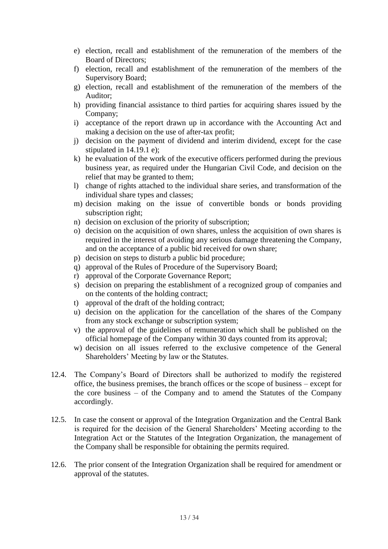- e) election, recall and establishment of the remuneration of the members of the Board of Directors;
- f) election, recall and establishment of the remuneration of the members of the Supervisory Board;
- g) election, recall and establishment of the remuneration of the members of the Auditor;
- h) providing financial assistance to third parties for acquiring shares issued by the Company;
- i) acceptance of the report drawn up in accordance with the Accounting Act and making a decision on the use of after-tax profit;
- j) decision on the payment of dividend and interim dividend, except for the case stipulated in 14.19.1 e);
- k) he evaluation of the work of the executive officers performed during the previous business year, as required under the Hungarian Civil Code, and decision on the relief that may be granted to them;
- l) change of rights attached to the individual share series, and transformation of the individual share types and classes;
- m) decision making on the issue of convertible bonds or bonds providing subscription right;
- n) decision on exclusion of the priority of subscription;
- o) decision on the acquisition of own shares, unless the acquisition of own shares is required in the interest of avoiding any serious damage threatening the Company, and on the acceptance of a public bid received for own share;
- p) decision on steps to disturb a public bid procedure;
- q) approval of the Rules of Procedure of the Supervisory Board;
- r) approval of the Corporate Governance Report;
- s) decision on preparing the establishment of a recognized group of companies and on the contents of the holding contract;
- t) approval of the draft of the holding contract;
- u) decision on the application for the cancellation of the shares of the Company from any stock exchange or subscription system;
- v) the approval of the guidelines of remuneration which shall be published on the official homepage of the Company within 30 days counted from its approval;
- w) decision on all issues referred to the exclusive competence of the General Shareholders' Meeting by law or the Statutes.
- 12.4. The Company's Board of Directors shall be authorized to modify the registered office, the business premises, the branch offices or the scope of business – except for the core business – of the Company and to amend the Statutes of the Company accordingly.
- 12.5. In case the consent or approval of the Integration Organization and the Central Bank is required for the decision of the General Shareholders' Meeting according to the Integration Act or the Statutes of the Integration Organization, the management of the Company shall be responsible for obtaining the permits required.
- 12.6. The prior consent of the Integration Organization shall be required for amendment or approval of the statutes.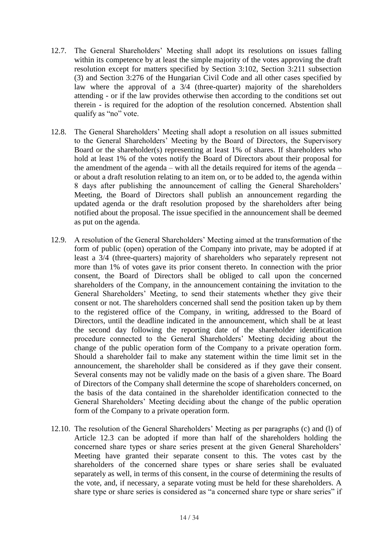- 12.7. The General Shareholders' Meeting shall adopt its resolutions on issues falling within its competence by at least the simple majority of the votes approving the draft resolution except for matters specified by Section 3:102, Section 3:211 subsection (3) and Section 3:276 of the Hungarian Civil Code and all other cases specified by law where the approval of a 3/4 (three-quarter) majority of the shareholders attending - or if the law provides otherwise then according to the conditions set out therein - is required for the adoption of the resolution concerned. Abstention shall qualify as "no" vote.
- 12.8. The General Shareholders' Meeting shall adopt a resolution on all issues submitted to the General Shareholders' Meeting by the Board of Directors, the Supervisory Board or the shareholder(s) representing at least 1% of shares. If shareholders who hold at least 1% of the votes notify the Board of Directors about their proposal for the amendment of the agenda – with all the details required for items of the agenda – or about a draft resolution relating to an item on, or to be added to, the agenda within 8 days after publishing the announcement of calling the General Shareholders' Meeting, the Board of Directors shall publish an announcement regarding the updated agenda or the draft resolution proposed by the shareholders after being notified about the proposal. The issue specified in the announcement shall be deemed as put on the agenda.
- 12.9. A resolution of the General Shareholders' Meeting aimed at the transformation of the form of public (open) operation of the Company into private, may be adopted if at least a 3/4 (three-quarters) majority of shareholders who separately represent not more than 1% of votes gave its prior consent thereto. In connection with the prior consent, the Board of Directors shall be obliged to call upon the concerned shareholders of the Company, in the announcement containing the invitation to the General Shareholders' Meeting, to send their statements whether they give their consent or not. The shareholders concerned shall send the position taken up by them to the registered office of the Company, in writing, addressed to the Board of Directors, until the deadline indicated in the announcement, which shall be at least the second day following the reporting date of the shareholder identification procedure connected to the General Shareholders' Meeting deciding about the change of the public operation form of the Company to a private operation form. Should a shareholder fail to make any statement within the time limit set in the announcement, the shareholder shall be considered as if they gave their consent. Several consents may not be validly made on the basis of a given share. The Board of Directors of the Company shall determine the scope of shareholders concerned, on the basis of the data contained in the shareholder identification connected to the General Shareholders' Meeting deciding about the change of the public operation form of the Company to a private operation form.
- 12.10. The resolution of the General Shareholders' Meeting as per paragraphs (c) and (l) of Article 12.3 can be adopted if more than half of the shareholders holding the concerned share types or share series present at the given General Shareholders' Meeting have granted their separate consent to this. The votes cast by the shareholders of the concerned share types or share series shall be evaluated separately as well, in terms of this consent, in the course of determining the results of the vote, and, if necessary, a separate voting must be held for these shareholders. A share type or share series is considered as "a concerned share type or share series" if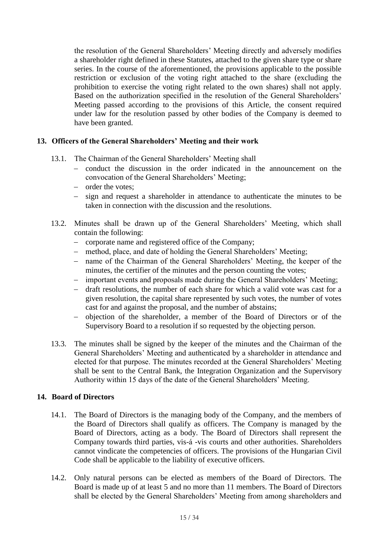the resolution of the General Shareholders' Meeting directly and adversely modifies a shareholder right defined in these Statutes, attached to the given share type or share series. In the course of the aforementioned, the provisions applicable to the possible restriction or exclusion of the voting right attached to the share (excluding the prohibition to exercise the voting right related to the own shares) shall not apply. Based on the authorization specified in the resolution of the General Shareholders' Meeting passed according to the provisions of this Article, the consent required under law for the resolution passed by other bodies of the Company is deemed to have been granted.

### **13. Officers of the General Shareholders' Meeting and their work**

- 13.1. The Chairman of the General Shareholders' Meeting shall
	- conduct the discussion in the order indicated in the announcement on the convocation of the General Shareholders' Meeting;
	- order the votes;
	- sign and request a shareholder in attendance to authenticate the minutes to be taken in connection with the discussion and the resolutions.
- 13.2. Minutes shall be drawn up of the General Shareholders' Meeting, which shall contain the following:
	- corporate name and registered office of the Company;
	- method, place, and date of holding the General Shareholders' Meeting;
	- name of the Chairman of the General Shareholders' Meeting, the keeper of the minutes, the certifier of the minutes and the person counting the votes;
	- important events and proposals made during the General Shareholders' Meeting;
	- draft resolutions, the number of each share for which a valid vote was cast for a given resolution, the capital share represented by such votes, the number of votes cast for and against the proposal, and the number of abstains;
	- objection of the shareholder, a member of the Board of Directors or of the Supervisory Board to a resolution if so requested by the objecting person.
- 13.3. The minutes shall be signed by the keeper of the minutes and the Chairman of the General Shareholders' Meeting and authenticated by a shareholder in attendance and elected for that purpose. The minutes recorded at the General Shareholders' Meeting shall be sent to the Central Bank, the Integration Organization and the Supervisory Authority within 15 days of the date of the General Shareholders' Meeting.

## **14. Board of Directors**

- 14.1. The Board of Directors is the managing body of the Company, and the members of the Board of Directors shall qualify as officers. The Company is managed by the Board of Directors, acting as a body. The Board of Directors shall represent the Company towards third parties, vis-á -vis courts and other authorities. Shareholders cannot vindicate the competencies of officers. The provisions of the Hungarian Civil Code shall be applicable to the liability of executive officers.
- 14.2. Only natural persons can be elected as members of the Board of Directors. The Board is made up of at least 5 and no more than 11 members. The Board of Directors shall be elected by the General Shareholders' Meeting from among shareholders and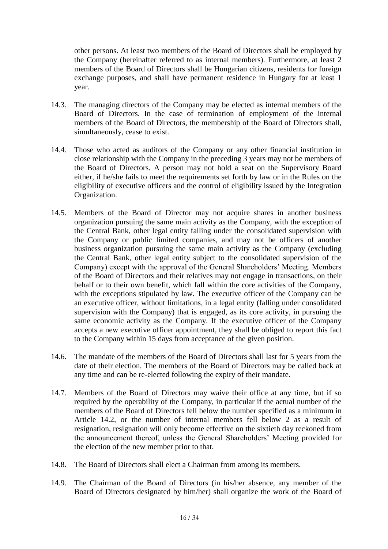other persons. At least two members of the Board of Directors shall be employed by the Company (hereinafter referred to as internal members). Furthermore, at least 2 members of the Board of Directors shall be Hungarian citizens, residents for foreign exchange purposes, and shall have permanent residence in Hungary for at least 1 year.

- 14.3. The managing directors of the Company may be elected as internal members of the Board of Directors. In the case of termination of employment of the internal members of the Board of Directors, the membership of the Board of Directors shall, simultaneously, cease to exist.
- 14.4. Those who acted as auditors of the Company or any other financial institution in close relationship with the Company in the preceding 3 years may not be members of the Board of Directors. A person may not hold a seat on the Supervisory Board either, if he/she fails to meet the requirements set forth by law or in the Rules on the eligibility of executive officers and the control of eligibility issued by the Integration Organization.
- 14.5. Members of the Board of Director may not acquire shares in another business organization pursuing the same main activity as the Company, with the exception of the Central Bank, other legal entity falling under the consolidated supervision with the Company or public limited companies, and may not be officers of another business organization pursuing the same main activity as the Company (excluding the Central Bank, other legal entity subject to the consolidated supervision of the Company) except with the approval of the General Shareholders' Meeting. Members of the Board of Directors and their relatives may not engage in transactions, on their behalf or to their own benefit, which fall within the core activities of the Company, with the exceptions stipulated by law. The executive officer of the Company can be an executive officer, without limitations, in a legal entity (falling under consolidated supervision with the Company) that is engaged, as its core activity, in pursuing the same economic activity as the Company. If the executive officer of the Company accepts a new executive officer appointment, they shall be obliged to report this fact to the Company within 15 days from acceptance of the given position.
- 14.6. The mandate of the members of the Board of Directors shall last for 5 years from the date of their election. The members of the Board of Directors may be called back at any time and can be re-elected following the expiry of their mandate.
- 14.7. Members of the Board of Directors may waive their office at any time, but if so required by the operability of the Company, in particular if the actual number of the members of the Board of Directors fell below the number specified as a minimum in Article 14.2, or the number of internal members fell below 2 as a result of resignation, resignation will only become effective on the sixtieth day reckoned from the announcement thereof, unless the General Shareholders' Meeting provided for the election of the new member prior to that.
- 14.8. The Board of Directors shall elect a Chairman from among its members.
- 14.9. The Chairman of the Board of Directors (in his/her absence, any member of the Board of Directors designated by him/her) shall organize the work of the Board of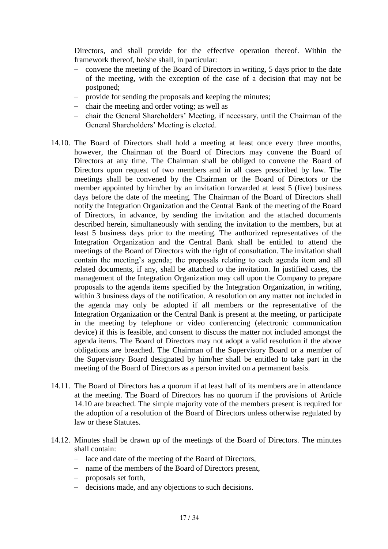Directors, and shall provide for the effective operation thereof. Within the framework thereof, he/she shall, in particular:

- convene the meeting of the Board of Directors in writing, 5 days prior to the date of the meeting, with the exception of the case of a decision that may not be postponed;
- provide for sending the proposals and keeping the minutes;
- chair the meeting and order voting; as well as
- chair the General Shareholders' Meeting, if necessary, until the Chairman of the General Shareholders' Meeting is elected.
- 14.10. The Board of Directors shall hold a meeting at least once every three months, however, the Chairman of the Board of Directors may convene the Board of Directors at any time. The Chairman shall be obliged to convene the Board of Directors upon request of two members and in all cases prescribed by law. The meetings shall be convened by the Chairman or the Board of Directors or the member appointed by him/her by an invitation forwarded at least 5 (five) business days before the date of the meeting. The Chairman of the Board of Directors shall notify the Integration Organization and the Central Bank of the meeting of the Board of Directors, in advance, by sending the invitation and the attached documents described herein, simultaneously with sending the invitation to the members, but at least 5 business days prior to the meeting. The authorized representatives of the Integration Organization and the Central Bank shall be entitled to attend the meetings of the Board of Directors with the right of consultation. The invitation shall contain the meeting's agenda; the proposals relating to each agenda item and all related documents, if any, shall be attached to the invitation. In justified cases, the management of the Integration Organization may call upon the Company to prepare proposals to the agenda items specified by the Integration Organization, in writing, within 3 business days of the notification. A resolution on any matter not included in the agenda may only be adopted if all members or the representative of the Integration Organization or the Central Bank is present at the meeting, or participate in the meeting by telephone or video conferencing (electronic communication device) if this is feasible, and consent to discuss the matter not included amongst the agenda items. The Board of Directors may not adopt a valid resolution if the above obligations are breached. The Chairman of the Supervisory Board or a member of the Supervisory Board designated by him/her shall be entitled to take part in the meeting of the Board of Directors as a person invited on a permanent basis.
- 14.11. The Board of Directors has a quorum if at least half of its members are in attendance at the meeting. The Board of Directors has no quorum if the provisions of Article 14.10 are breached. The simple majority vote of the members present is required for the adoption of a resolution of the Board of Directors unless otherwise regulated by law or these Statutes.
- 14.12. Minutes shall be drawn up of the meetings of the Board of Directors. The minutes shall contain:
	- lace and date of the meeting of the Board of Directors,
	- name of the members of the Board of Directors present,
	- proposals set forth,
	- decisions made, and any objections to such decisions.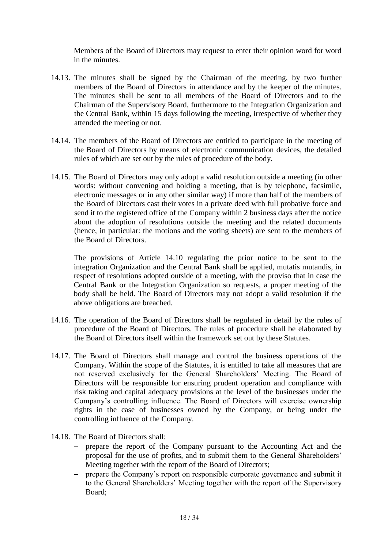Members of the Board of Directors may request to enter their opinion word for word in the minutes.

- 14.13. The minutes shall be signed by the Chairman of the meeting, by two further members of the Board of Directors in attendance and by the keeper of the minutes. The minutes shall be sent to all members of the Board of Directors and to the Chairman of the Supervisory Board, furthermore to the Integration Organization and the Central Bank, within 15 days following the meeting, irrespective of whether they attended the meeting or not.
- 14.14. The members of the Board of Directors are entitled to participate in the meeting of the Board of Directors by means of electronic communication devices, the detailed rules of which are set out by the rules of procedure of the body.
- 14.15. The Board of Directors may only adopt a valid resolution outside a meeting (in other words: without convening and holding a meeting, that is by telephone, facsimile, electronic messages or in any other similar way) if more than half of the members of the Board of Directors cast their votes in a private deed with full probative force and send it to the registered office of the Company within 2 business days after the notice about the adoption of resolutions outside the meeting and the related documents (hence, in particular: the motions and the voting sheets) are sent to the members of the Board of Directors.

The provisions of Article 14.10 regulating the prior notice to be sent to the integration Organization and the Central Bank shall be applied, mutatis mutandis, in respect of resolutions adopted outside of a meeting, with the proviso that in case the Central Bank or the Integration Organization so requests, a proper meeting of the body shall be held. The Board of Directors may not adopt a valid resolution if the above obligations are breached.

- 14.16. The operation of the Board of Directors shall be regulated in detail by the rules of procedure of the Board of Directors. The rules of procedure shall be elaborated by the Board of Directors itself within the framework set out by these Statutes.
- 14.17. The Board of Directors shall manage and control the business operations of the Company. Within the scope of the Statutes, it is entitled to take all measures that are not reserved exclusively for the General Shareholders' Meeting. The Board of Directors will be responsible for ensuring prudent operation and compliance with risk taking and capital adequacy provisions at the level of the businesses under the Company's controlling influence. The Board of Directors will exercise ownership rights in the case of businesses owned by the Company, or being under the controlling influence of the Company.
- 14.18. The Board of Directors shall:
	- prepare the report of the Company pursuant to the Accounting Act and the proposal for the use of profits, and to submit them to the General Shareholders' Meeting together with the report of the Board of Directors;
	- prepare the Company's report on responsible corporate governance and submit it to the General Shareholders' Meeting together with the report of the Supervisory Board;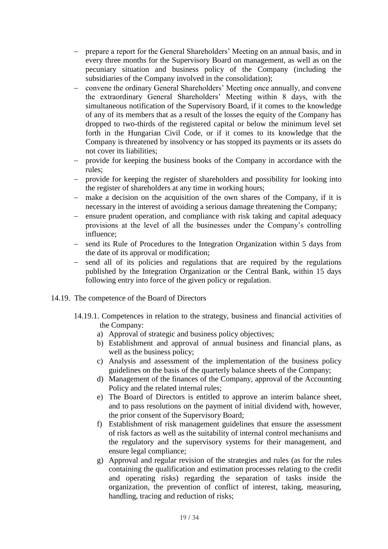- prepare a report for the General Shareholders' Meeting on an annual basis, and in every three months for the Supervisory Board on management, as well as on the pecuniary situation and business policy of the Company (including the subsidiaries of the Company involved in the consolidation);
- convene the ordinary General Shareholders' Meeting once annually, and convene the extraordinary General Shareholders' Meeting within 8 days, with the simultaneous notification of the Supervisory Board, if it comes to the knowledge of any of its members that as a result of the losses the equity of the Company has dropped to two-thirds of the registered capital or below the minimum level set forth in the Hungarian Civil Code, or if it comes to its knowledge that the Company is threatened by insolvency or has stopped its payments or its assets do not cover its liabilities;
- provide for keeping the business books of the Company in accordance with the rules;
- provide for keeping the register of shareholders and possibility for looking into the register of shareholders at any time in working hours;
- make a decision on the acquisition of the own shares of the Company, if it is necessary in the interest of avoiding a serious damage threatening the Company;
- ensure prudent operation, and compliance with risk taking and capital adequacy provisions at the level of all the businesses under the Company's controlling influence;
- send its Rule of Procedures to the Integration Organization within 5 days from the date of its approval or modification;
- send all of its policies and regulations that are required by the regulations published by the Integration Organization or the Central Bank, within 15 days following entry into force of the given policy or regulation.
- 14.19. The competence of the Board of Directors
	- 14.19.1. Competences in relation to the strategy, business and financial activities of the Company:
		- a) Approval of strategic and business policy objectives;
		- b) Establishment and approval of annual business and financial plans, as well as the business policy;
		- c) Analysis and assessment of the implementation of the business policy guidelines on the basis of the quarterly balance sheets of the Company;
		- d) Management of the finances of the Company, approval of the Accounting Policy and the related internal rules;
		- e) The Board of Directors is entitled to approve an interim balance sheet, and to pass resolutions on the payment of initial dividend with, however, the prior consent of the Supervisory Board;
		- f) Establishment of risk management guidelines that ensure the assessment of risk factors as well as the suitability of internal control mechanisms and the regulatory and the supervisory systems for their management, and ensure legal compliance;
		- g) Approval and regular revision of the strategies and rules (as for the rules containing the qualification and estimation processes relating to the credit and operating risks) regarding the separation of tasks inside the organization, the prevention of conflict of interest, taking, measuring, handling, tracing and reduction of risks;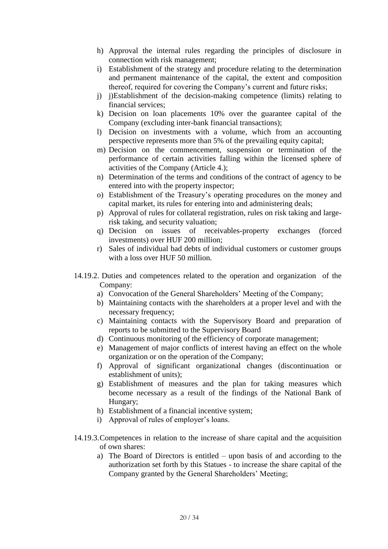- h) Approval the internal rules regarding the principles of disclosure in connection with risk management;
- i) Establishment of the strategy and procedure relating to the determination and permanent maintenance of the capital, the extent and composition thereof, required for covering the Company's current and future risks;
- j) j)Establishment of the decision-making competence (limits) relating to financial services;
- k) Decision on loan placements 10% over the guarantee capital of the Company (excluding inter-bank financial transactions);
- l) Decision on investments with a volume, which from an accounting perspective represents more than 5% of the prevailing equity capital;
- m) Decision on the commencement, suspension or termination of the performance of certain activities falling within the licensed sphere of activities of the Company (Article 4.);
- n) Determination of the terms and conditions of the contract of agency to be entered into with the property inspector;
- o) Establishment of the Treasury's operating procedures on the money and capital market, its rules for entering into and administering deals;
- p) Approval of rules for collateral registration, rules on risk taking and largerisk taking, and security valuation;
- q) Decision on issues of receivables-property exchanges (forced investments) over HUF 200 million;
- r) Sales of individual bad debts of individual customers or customer groups with a loss over HUF 50 million.
- 14.19.2. Duties and competences related to the operation and organization of the Company:
	- a) Convocation of the General Shareholders' Meeting of the Company;
	- b) Maintaining contacts with the shareholders at a proper level and with the necessary frequency;
	- c) Maintaining contacts with the Supervisory Board and preparation of reports to be submitted to the Supervisory Board
	- d) Continuous monitoring of the efficiency of corporate management;
	- e) Management of major conflicts of interest having an effect on the whole organization or on the operation of the Company;
	- f) Approval of significant organizational changes (discontinuation or establishment of units);
	- g) Establishment of measures and the plan for taking measures which become necessary as a result of the findings of the National Bank of Hungary;
	- h) Establishment of a financial incentive system;
	- i) Approval of rules of employer's loans.
- 14.19.3.Competences in relation to the increase of share capital and the acquisition of own shares:
	- a) The Board of Directors is entitled upon basis of and according to the authorization set forth by this Statues - to increase the share capital of the Company granted by the General Shareholders' Meeting;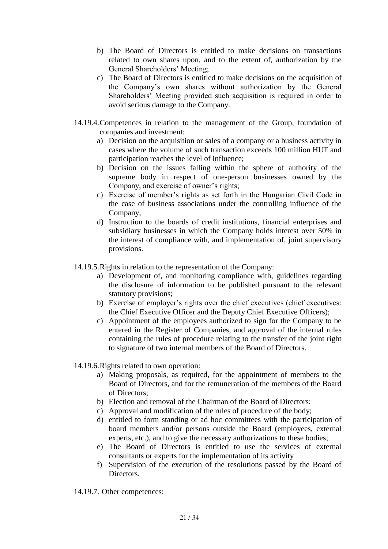- b) The Board of Directors is entitled to make decisions on transactions related to own shares upon, and to the extent of, authorization by the General Shareholders' Meeting;
- c) The Board of Directors is entitled to make decisions on the acquisition of the Company's own shares without authorization by the General Shareholders' Meeting provided such acquisition is required in order to avoid serious damage to the Company.
- 14.19.4.Competences in relation to the management of the Group, foundation of companies and investment:
	- a) Decision on the acquisition or sales of a company or a business activity in cases where the volume of such transaction exceeds 100 million HUF and participation reaches the level of influence;
	- b) Decision on the issues falling within the sphere of authority of the supreme body in respect of one-person businesses owned by the Company, and exercise of owner's rights;
	- c) Exercise of member's rights as set forth in the Hungarian Civil Code in the case of business associations under the controlling influence of the Company;
	- d) Instruction to the boards of credit institutions, financial enterprises and subsidiary businesses in which the Company holds interest over 50% in the interest of compliance with, and implementation of, joint supervisory provisions.
- 14.19.5.Rights in relation to the representation of the Company:
	- a) Development of, and monitoring compliance with, guidelines regarding the disclosure of information to be published pursuant to the relevant statutory provisions;
	- b) Exercise of employer's rights over the chief executives (chief executives: the Chief Executive Officer and the Deputy Chief Executive Officers);
	- c) Appointment of the employees authorized to sign for the Company to be entered in the Register of Companies, and approval of the internal rules containing the rules of procedure relating to the transfer of the joint right to signature of two internal members of the Board of Directors.
- 14.19.6.Rights related to own operation:
	- a) Making proposals, as required, for the appointment of members to the Board of Directors, and for the remuneration of the members of the Board of Directors;
	- b) Election and removal of the Chairman of the Board of Directors;
	- c) Approval and modification of the rules of procedure of the body;
	- d) entitled to form standing or ad hoc committees with the participation of board members and/or persons outside the Board (employees, external experts, etc.), and to give the necessary authorizations to these bodies;
	- e) The Board of Directors is entitled to use the services of external consultants or experts for the implementation of its activity
	- f) Supervision of the execution of the resolutions passed by the Board of Directors.
- 14.19.7. Other competences: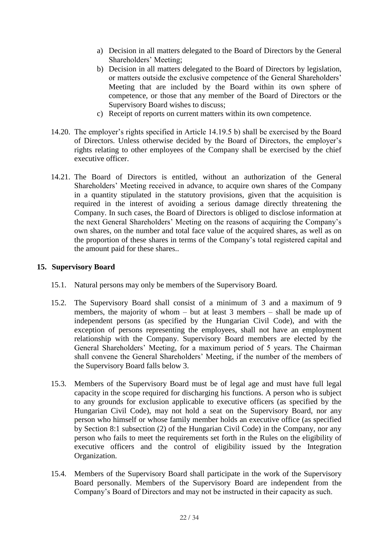- a) Decision in all matters delegated to the Board of Directors by the General Shareholders' Meeting;
- b) Decision in all matters delegated to the Board of Directors by legislation, or matters outside the exclusive competence of the General Shareholders' Meeting that are included by the Board within its own sphere of competence, or those that any member of the Board of Directors or the Supervisory Board wishes to discuss;
- c) Receipt of reports on current matters within its own competence.
- 14.20. The employer's rights specified in Article 14.19.5 b) shall be exercised by the Board of Directors. Unless otherwise decided by the Board of Directors, the employer's rights relating to other employees of the Company shall be exercised by the chief executive officer.
- 14.21. The Board of Directors is entitled, without an authorization of the General Shareholders' Meeting received in advance, to acquire own shares of the Company in a quantity stipulated in the statutory provisions, given that the acquisition is required in the interest of avoiding a serious damage directly threatening the Company. In such cases, the Board of Directors is obliged to disclose information at the next General Shareholders' Meeting on the reasons of acquiring the Company's own shares, on the number and total face value of the acquired shares, as well as on the proportion of these shares in terms of the Company's total registered capital and the amount paid for these shares..

## **15. Supervisory Board**

- 15.1. Natural persons may only be members of the Supervisory Board.
- 15.2. The Supervisory Board shall consist of a minimum of 3 and a maximum of 9 members, the majority of whom – but at least 3 members – shall be made up of independent persons (as specified by the Hungarian Civil Code), and with the exception of persons representing the employees, shall not have an employment relationship with the Company. Supervisory Board members are elected by the General Shareholders' Meeting, for a maximum period of 5 years. The Chairman shall convene the General Shareholders' Meeting, if the number of the members of the Supervisory Board falls below 3.
- 15.3. Members of the Supervisory Board must be of legal age and must have full legal capacity in the scope required for discharging his functions. A person who is subject to any grounds for exclusion applicable to executive officers (as specified by the Hungarian Civil Code), may not hold a seat on the Supervisory Board, nor any person who himself or whose family member holds an executive office (as specified by Section 8:1 subsection (2) of the Hungarian Civil Code) in the Company, nor any person who fails to meet the requirements set forth in the Rules on the eligibility of executive officers and the control of eligibility issued by the Integration Organization.
- 15.4. Members of the Supervisory Board shall participate in the work of the Supervisory Board personally. Members of the Supervisory Board are independent from the Company's Board of Directors and may not be instructed in their capacity as such.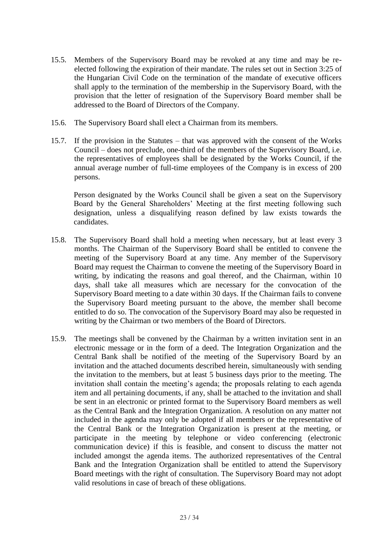- 15.5. Members of the Supervisory Board may be revoked at any time and may be reelected following the expiration of their mandate. The rules set out in Section 3:25 of the Hungarian Civil Code on the termination of the mandate of executive officers shall apply to the termination of the membership in the Supervisory Board, with the provision that the letter of resignation of the Supervisory Board member shall be addressed to the Board of Directors of the Company.
- 15.6. The Supervisory Board shall elect a Chairman from its members.
- 15.7. If the provision in the Statutes that was approved with the consent of the Works Council – does not preclude, one-third of the members of the Supervisory Board, i.e. the representatives of employees shall be designated by the Works Council, if the annual average number of full-time employees of the Company is in excess of 200 persons.

Person designated by the Works Council shall be given a seat on the Supervisory Board by the General Shareholders' Meeting at the first meeting following such designation, unless a disqualifying reason defined by law exists towards the candidates.

- 15.8. The Supervisory Board shall hold a meeting when necessary, but at least every 3 months. The Chairman of the Supervisory Board shall be entitled to convene the meeting of the Supervisory Board at any time. Any member of the Supervisory Board may request the Chairman to convene the meeting of the Supervisory Board in writing, by indicating the reasons and goal thereof, and the Chairman, within 10 days, shall take all measures which are necessary for the convocation of the Supervisory Board meeting to a date within 30 days. If the Chairman fails to convene the Supervisory Board meeting pursuant to the above, the member shall become entitled to do so. The convocation of the Supervisory Board may also be requested in writing by the Chairman or two members of the Board of Directors.
- 15.9. The meetings shall be convened by the Chairman by a written invitation sent in an electronic message or in the form of a deed. The Integration Organization and the Central Bank shall be notified of the meeting of the Supervisory Board by an invitation and the attached documents described herein, simultaneously with sending the invitation to the members, but at least 5 business days prior to the meeting. The invitation shall contain the meeting's agenda; the proposals relating to each agenda item and all pertaining documents, if any, shall be attached to the invitation and shall be sent in an electronic or printed format to the Supervisory Board members as well as the Central Bank and the Integration Organization. A resolution on any matter not included in the agenda may only be adopted if all members or the representative of the Central Bank or the Integration Organization is present at the meeting, or participate in the meeting by telephone or video conferencing (electronic communication device) if this is feasible, and consent to discuss the matter not included amongst the agenda items. The authorized representatives of the Central Bank and the Integration Organization shall be entitled to attend the Supervisory Board meetings with the right of consultation. The Supervisory Board may not adopt valid resolutions in case of breach of these obligations.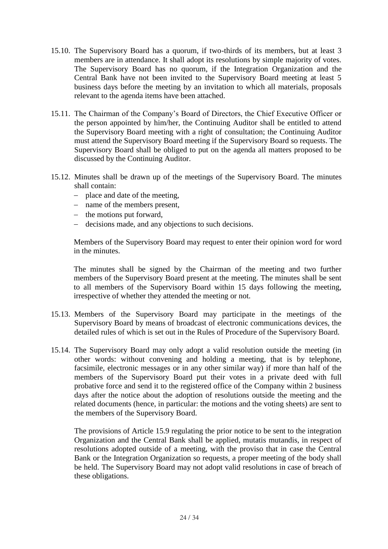- 15.10. The Supervisory Board has a quorum, if two-thirds of its members, but at least 3 members are in attendance. It shall adopt its resolutions by simple majority of votes. The Supervisory Board has no quorum, if the Integration Organization and the Central Bank have not been invited to the Supervisory Board meeting at least 5 business days before the meeting by an invitation to which all materials, proposals relevant to the agenda items have been attached.
- 15.11. The Chairman of the Company's Board of Directors, the Chief Executive Officer or the person appointed by him/her, the Continuing Auditor shall be entitled to attend the Supervisory Board meeting with a right of consultation; the Continuing Auditor must attend the Supervisory Board meeting if the Supervisory Board so requests. The Supervisory Board shall be obliged to put on the agenda all matters proposed to be discussed by the Continuing Auditor.
- 15.12. Minutes shall be drawn up of the meetings of the Supervisory Board. The minutes shall contain:
	- place and date of the meeting,
	- name of the members present.
	- $-$  the motions put forward,
	- decisions made, and any objections to such decisions.

Members of the Supervisory Board may request to enter their opinion word for word in the minutes.

The minutes shall be signed by the Chairman of the meeting and two further members of the Supervisory Board present at the meeting. The minutes shall be sent to all members of the Supervisory Board within 15 days following the meeting, irrespective of whether they attended the meeting or not.

- 15.13. Members of the Supervisory Board may participate in the meetings of the Supervisory Board by means of broadcast of electronic communications devices, the detailed rules of which is set out in the Rules of Procedure of the Supervisory Board.
- 15.14. The Supervisory Board may only adopt a valid resolution outside the meeting (in other words: without convening and holding a meeting, that is by telephone, facsimile, electronic messages or in any other similar way) if more than half of the members of the Supervisory Board put their votes in a private deed with full probative force and send it to the registered office of the Company within 2 business days after the notice about the adoption of resolutions outside the meeting and the related documents (hence, in particular: the motions and the voting sheets) are sent to the members of the Supervisory Board.

The provisions of Article 15.9 regulating the prior notice to be sent to the integration Organization and the Central Bank shall be applied, mutatis mutandis, in respect of resolutions adopted outside of a meeting, with the proviso that in case the Central Bank or the Integration Organization so requests, a proper meeting of the body shall be held. The Supervisory Board may not adopt valid resolutions in case of breach of these obligations.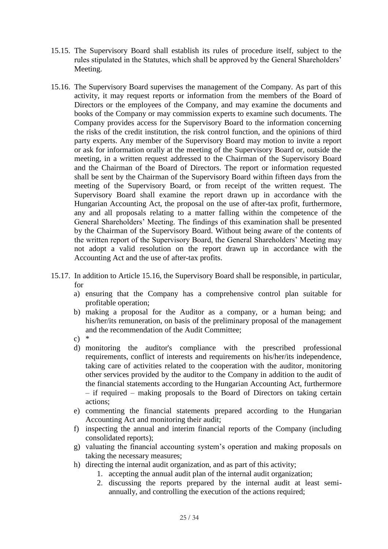- 15.15. The Supervisory Board shall establish its rules of procedure itself, subject to the rules stipulated in the Statutes, which shall be approved by the General Shareholders' Meeting.
- 15.16. The Supervisory Board supervises the management of the Company. As part of this activity, it may request reports or information from the members of the Board of Directors or the employees of the Company, and may examine the documents and books of the Company or may commission experts to examine such documents. The Company provides access for the Supervisory Board to the information concerning the risks of the credit institution, the risk control function, and the opinions of third party experts. Any member of the Supervisory Board may motion to invite a report or ask for information orally at the meeting of the Supervisory Board or, outside the meeting, in a written request addressed to the Chairman of the Supervisory Board and the Chairman of the Board of Directors. The report or information requested shall be sent by the Chairman of the Supervisory Board within fifteen days from the meeting of the Supervisory Board, or from receipt of the written request. The Supervisory Board shall examine the report drawn up in accordance with the Hungarian Accounting Act, the proposal on the use of after-tax profit, furthermore, any and all proposals relating to a matter falling within the competence of the General Shareholders' Meeting. The findings of this examination shall be presented by the Chairman of the Supervisory Board. Without being aware of the contents of the written report of the Supervisory Board, the General Shareholders' Meeting may not adopt a valid resolution on the report drawn up in accordance with the Accounting Act and the use of after-tax profits.
- 15.17. In addition to Article 15.16, the Supervisory Board shall be responsible, in particular, for
	- a) ensuring that the Company has a comprehensive control plan suitable for profitable operation;
	- b) making a proposal for the Auditor as a company, or a human being; and his/her/its remuneration, on basis of the preliminary proposal of the management and the recommendation of the Audit Committee;
	- $c)$  \*
	- d) monitoring the auditor's compliance with the prescribed professional requirements, conflict of interests and requirements on his/her/its independence, taking care of activities related to the cooperation with the auditor, monitoring other services provided by the auditor to the Company in addition to the audit of the financial statements according to the Hungarian Accounting Act, furthermore – if required – making proposals to the Board of Directors on taking certain actions;
	- e) commenting the financial statements prepared according to the Hungarian Accounting Act and monitoring their audit;
	- f) inspecting the annual and interim financial reports of the Company (including consolidated reports);
	- g) valuating the financial accounting system's operation and making proposals on taking the necessary measures;
	- h) directing the internal audit organization, and as part of this activity;
		- 1. accepting the annual audit plan of the internal audit organization;
		- 2. discussing the reports prepared by the internal audit at least semiannually, and controlling the execution of the actions required;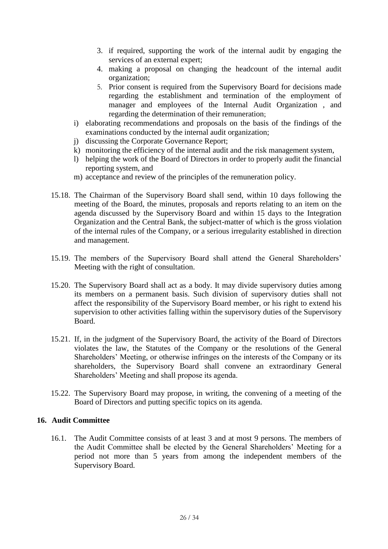- 3. if required, supporting the work of the internal audit by engaging the services of an external expert;
- 4. making a proposal on changing the headcount of the internal audit organization;
- 5. Prior consent is required from the Supervisory Board for decisions made regarding the establishment and termination of the employment of manager and employees of the Internal Audit Organization , and regarding the determination of their remuneration;
- i) elaborating recommendations and proposals on the basis of the findings of the examinations conducted by the internal audit organization;
- j) discussing the Corporate Governance Report;
- k) monitoring the efficiency of the internal audit and the risk management system,
- l) helping the work of the Board of Directors in order to properly audit the financial reporting system, and
- m) acceptance and review of the principles of the remuneration policy.
- 15.18. The Chairman of the Supervisory Board shall send, within 10 days following the meeting of the Board, the minutes, proposals and reports relating to an item on the agenda discussed by the Supervisory Board and within 15 days to the Integration Organization and the Central Bank, the subject-matter of which is the gross violation of the internal rules of the Company, or a serious irregularity established in direction and management.
- 15.19. The members of the Supervisory Board shall attend the General Shareholders' Meeting with the right of consultation.
- 15.20. The Supervisory Board shall act as a body. It may divide supervisory duties among its members on a permanent basis. Such division of supervisory duties shall not affect the responsibility of the Supervisory Board member, or his right to extend his supervision to other activities falling within the supervisory duties of the Supervisory Board.
- 15.21. If, in the judgment of the Supervisory Board, the activity of the Board of Directors violates the law, the Statutes of the Company or the resolutions of the General Shareholders' Meeting, or otherwise infringes on the interests of the Company or its shareholders, the Supervisory Board shall convene an extraordinary General Shareholders' Meeting and shall propose its agenda.
- 15.22. The Supervisory Board may propose, in writing, the convening of a meeting of the Board of Directors and putting specific topics on its agenda.

## **16. Audit Committee**

16.1. The Audit Committee consists of at least 3 and at most 9 persons. The members of the Audit Committee shall be elected by the General Shareholders' Meeting for a period not more than 5 years from among the independent members of the Supervisory Board.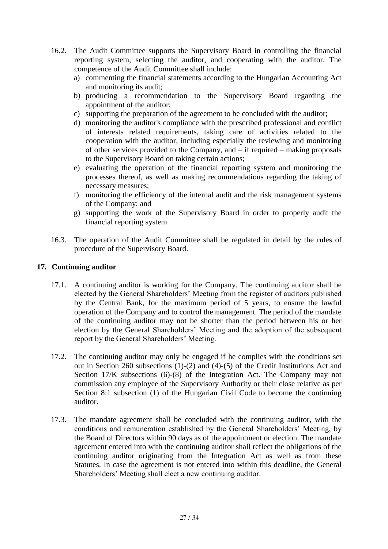- 16.2. The Audit Committee supports the Supervisory Board in controlling the financial reporting system, selecting the auditor, and cooperating with the auditor. The competence of the Audit Committee shall include:
	- a) commenting the financial statements according to the Hungarian Accounting Act and monitoring its audit;
	- b) producing a recommendation to the Supervisory Board regarding the appointment of the auditor;
	- c) supporting the preparation of the agreement to be concluded with the auditor;
	- d) monitoring the auditor's compliance with the prescribed professional and conflict of interests related requirements, taking care of activities related to the cooperation with the auditor, including especially the reviewing and monitoring of other services provided to the Company, and – if required – making proposals to the Supervisory Board on taking certain actions;
	- e) evaluating the operation of the financial reporting system and monitoring the processes thereof, as well as making recommendations regarding the taking of necessary measures;
	- f) monitoring the efficiency of the internal audit and the risk management systems of the Company; and
	- g) supporting the work of the Supervisory Board in order to properly audit the financial reporting system
- 16.3. The operation of the Audit Committee shall be regulated in detail by the rules of procedure of the Supervisory Board.

## **17. Continuing auditor**

- 17.1. A continuing auditor is working for the Company. The continuing auditor shall be elected by the General Shareholders' Meeting from the register of auditors published by the Central Bank, for the maximum period of 5 years, to ensure the lawful operation of the Company and to control the management. The period of the mandate of the continuing auditor may not be shorter than the period between his or her election by the General Shareholders' Meeting and the adoption of the subsequent report by the General Shareholders' Meeting.
- 17.2. The continuing auditor may only be engaged if he complies with the conditions set out in Section 260 subsections (1)-(2) and (4)-(5) of the Credit Institutions Act and Section 17/K subsections (6)-(8) of the Integration Act. The Company may not commission any employee of the Supervisory Authority or their close relative as per Section 8:1 subsection (1) of the Hungarian Civil Code to become the continuing auditor.
- 17.3. The mandate agreement shall be concluded with the continuing auditor, with the conditions and remuneration established by the General Shareholders' Meeting, by the Board of Directors within 90 days as of the appointment or election. The mandate agreement entered into with the continuing auditor shall reflect the obligations of the continuing auditor originating from the Integration Act as well as from these Statutes. In case the agreement is not entered into within this deadline, the General Shareholders' Meeting shall elect a new continuing auditor.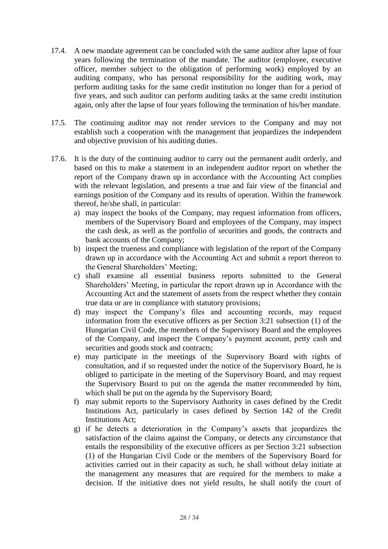- 17.4. A new mandate agreement can be concluded with the same auditor after lapse of four years following the termination of the mandate. The auditor (employee, executive officer, member subject to the obligation of performing work) employed by an auditing company, who has personal responsibility for the auditing work, may perform auditing tasks for the same credit institution no longer than for a period of five years, and such auditor can perform auditing tasks at the same credit institution again, only after the lapse of four years following the termination of his/her mandate.
- 17.5. The continuing auditor may not render services to the Company and may not establish such a cooperation with the management that jeopardizes the independent and objective provision of his auditing duties.
- 17.6. It is the duty of the continuing auditor to carry out the permanent audit orderly, and based on this to make a statement in an independent auditor report on whether the report of the Company drawn up in accordance with the Accounting Act complies with the relevant legislation, and presents a true and fair view of the financial and earnings position of the Company and its results of operation. Within the framework thereof, he/she shall, in particular:
	- a) may inspect the books of the Company, may request information from officers, members of the Supervisory Board and employees of the Company, may inspect the cash desk, as well as the portfolio of securities and goods, the contracts and bank accounts of the Company;
	- b) inspect the trueness and compliance with legislation of the report of the Company drawn up in accordance with the Accounting Act and submit a report thereon to the General Shareholders' Meeting;
	- c) shall examine all essential business reports submitted to the General Shareholders' Meeting, in particular the report drawn up in Accordance with the Accounting Act and the statement of assets from the respect whether they contain true data or are in compliance with statutory provisions;
	- d) may inspect the Company's files and accounting records, may request information from the executive officers as per Section 3:21 subsection (1) of the Hungarian Civil Code, the members of the Supervisory Board and the employees of the Company, and inspect the Company's payment account, petty cash and securities and goods stock and contracts;
	- e) may participate in the meetings of the Supervisory Board with rights of consultation, and if so requested under the notice of the Supervisory Board, he is obliged to participate in the meeting of the Supervisory Board, and may request the Supervisory Board to put on the agenda the matter recommended by him, which shall be put on the agenda by the Supervisory Board;
	- f) may submit reports to the Supervisory Authority in cases defined by the Credit Institutions Act, particularly in cases defined by Section 142 of the Credit Institutions Act;
	- g) if he detects a deterioration in the Company's assets that jeopardizes the satisfaction of the claims against the Company, or detects any circumstance that entails the responsibility of the executive officers as per Section 3:21 subsection (1) of the Hungarian Civil Code or the members of the Supervisory Board for activities carried out in their capacity as such, he shall without delay initiate at the management any measures that are required for the members to make a decision. If the initiative does not yield results, he shall notify the court of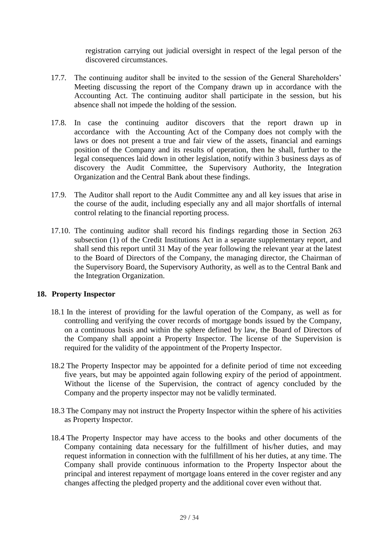registration carrying out judicial oversight in respect of the legal person of the discovered circumstances.

- 17.7. The continuing auditor shall be invited to the session of the General Shareholders' Meeting discussing the report of the Company drawn up in accordance with the Accounting Act. The continuing auditor shall participate in the session, but his absence shall not impede the holding of the session.
- 17.8. In case the continuing auditor discovers that the report drawn up in accordance with the Accounting Act of the Company does not comply with the laws or does not present a true and fair view of the assets, financial and earnings position of the Company and its results of operation, then he shall, further to the legal consequences laid down in other legislation, notify within 3 business days as of discovery the Audit Committee, the Supervisory Authority, the Integration Organization and the Central Bank about these findings.
- 17.9. The Auditor shall report to the Audit Committee any and all key issues that arise in the course of the audit, including especially any and all major shortfalls of internal control relating to the financial reporting process.
- 17.10. The continuing auditor shall record his findings regarding those in Section 263 subsection (1) of the Credit Institutions Act in a separate supplementary report, and shall send this report until 31 May of the year following the relevant year at the latest to the Board of Directors of the Company, the managing director, the Chairman of the Supervisory Board, the Supervisory Authority, as well as to the Central Bank and the Integration Organization.

## **18. Property Inspector**

- 18.1 In the interest of providing for the lawful operation of the Company, as well as for controlling and verifying the cover records of mortgage bonds issued by the Company, on a continuous basis and within the sphere defined by law, the Board of Directors of the Company shall appoint a Property Inspector. The license of the Supervision is required for the validity of the appointment of the Property Inspector.
- 18.2 The Property Inspector may be appointed for a definite period of time not exceeding five years, but may be appointed again following expiry of the period of appointment. Without the license of the Supervision, the contract of agency concluded by the Company and the property inspector may not be validly terminated.
- 18.3 The Company may not instruct the Property Inspector within the sphere of his activities as Property Inspector.
- 18.4 The Property Inspector may have access to the books and other documents of the Company containing data necessary for the fulfillment of his/her duties, and may request information in connection with the fulfillment of his her duties, at any time. The Company shall provide continuous information to the Property Inspector about the principal and interest repayment of mortgage loans entered in the cover register and any changes affecting the pledged property and the additional cover even without that.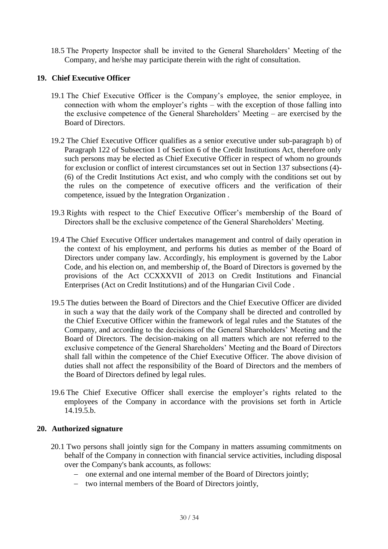18.5 The Property Inspector shall be invited to the General Shareholders' Meeting of the Company, and he/she may participate therein with the right of consultation.

## **19. Chief Executive Officer**

- 19.1 The Chief Executive Officer is the Company's employee, the senior employee, in connection with whom the employer's rights – with the exception of those falling into the exclusive competence of the General Shareholders' Meeting – are exercised by the Board of Directors.
- 19.2 The Chief Executive Officer qualifies as a senior executive under sub-paragraph b) of Paragraph 122 of Subsection 1 of Section 6 of the Credit Institutions Act, therefore only such persons may be elected as Chief Executive Officer in respect of whom no grounds for exclusion or conflict of interest circumstances set out in Section 137 subsections (4)- (6) of the Credit Institutions Act exist, and who comply with the conditions set out by the rules on the competence of executive officers and the verification of their competence, issued by the Integration Organization .
- 19.3 Rights with respect to the Chief Executive Officer's membership of the Board of Directors shall be the exclusive competence of the General Shareholders' Meeting.
- 19.4 The Chief Executive Officer undertakes management and control of daily operation in the context of his employment, and performs his duties as member of the Board of Directors under company law. Accordingly, his employment is governed by the Labor Code, and his election on, and membership of, the Board of Directors is governed by the provisions of the Act CCXXXVII of 2013 on Credit Institutions and Financial Enterprises (Act on Credit Institutions) and of the Hungarian Civil Code .
- 19.5 The duties between the Board of Directors and the Chief Executive Officer are divided in such a way that the daily work of the Company shall be directed and controlled by the Chief Executive Officer within the framework of legal rules and the Statutes of the Company, and according to the decisions of the General Shareholders' Meeting and the Board of Directors. The decision-making on all matters which are not referred to the exclusive competence of the General Shareholders' Meeting and the Board of Directors shall fall within the competence of the Chief Executive Officer. The above division of duties shall not affect the responsibility of the Board of Directors and the members of the Board of Directors defined by legal rules.
- 19.6 The Chief Executive Officer shall exercise the employer's rights related to the employees of the Company in accordance with the provisions set forth in Article 14.19.5.b.

## **20. Authorized signature**

- 20.1 Two persons shall jointly sign for the Company in matters assuming commitments on behalf of the Company in connection with financial service activities, including disposal over the Company's bank accounts, as follows:
	- one external and one internal member of the Board of Directors jointly;
	- two internal members of the Board of Directors jointly,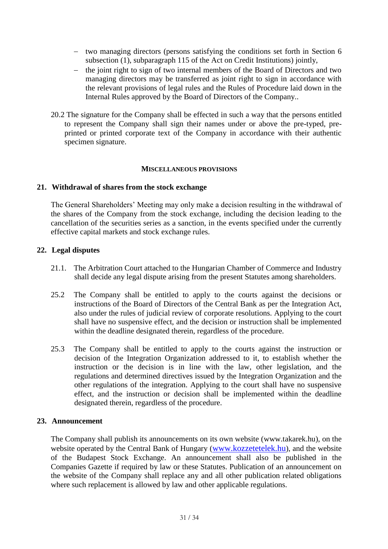- two managing directors (persons satisfying the conditions set forth in Section 6 subsection (1), subparagraph 115 of the Act on Credit Institutions) jointly,
- the joint right to sign of two internal members of the Board of Directors and two managing directors may be transferred as joint right to sign in accordance with the relevant provisions of legal rules and the Rules of Procedure laid down in the Internal Rules approved by the Board of Directors of the Company..
- 20.2 The signature for the Company shall be effected in such a way that the persons entitled to represent the Company shall sign their names under or above the pre-typed, preprinted or printed corporate text of the Company in accordance with their authentic specimen signature.

### **MISCELLANEOUS PROVISIONS**

## **21. Withdrawal of shares from the stock exchange**

The General Shareholders' Meeting may only make a decision resulting in the withdrawal of the shares of the Company from the stock exchange, including the decision leading to the cancellation of the securities series as a sanction, in the events specified under the currently effective capital markets and stock exchange rules.

## **22. Legal disputes**

- 21.1. The Arbitration Court attached to the Hungarian Chamber of Commerce and Industry shall decide any legal dispute arising from the present Statutes among shareholders.
- 25.2 The Company shall be entitled to apply to the courts against the decisions or instructions of the Board of Directors of the Central Bank as per the Integration Act, also under the rules of judicial review of corporate resolutions. Applying to the court shall have no suspensive effect, and the decision or instruction shall be implemented within the deadline designated therein, regardless of the procedure.
- 25.3 The Company shall be entitled to apply to the courts against the instruction or decision of the Integration Organization addressed to it, to establish whether the instruction or the decision is in line with the law, other legislation, and the regulations and determined directives issued by the Integration Organization and the other regulations of the integration. Applying to the court shall have no suspensive effect, and the instruction or decision shall be implemented within the deadline designated therein, regardless of the procedure.

#### **23. Announcement**

The Company shall publish its announcements on its own website (www.takarek.hu), on the website operated by the Central Bank of Hungary ([www.kozzetetelek.hu](http://www.kozzetetelek.hu/)), and the website of the Budapest Stock Exchange. An announcement shall also be published in the Companies Gazette if required by law or these Statutes. Publication of an announcement on the website of the Company shall replace any and all other publication related obligations where such replacement is allowed by law and other applicable regulations.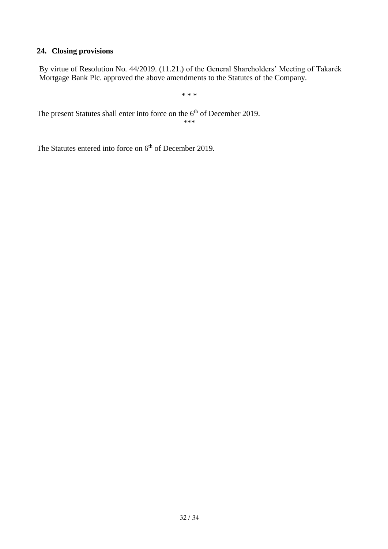# **24. Closing provisions**

By virtue of Resolution No. 44/2019. (11.21.) of the General Shareholders' Meeting of Takarék Mortgage Bank Plc. approved the above amendments to the Statutes of the Company.

\* \* \*

The present Statutes shall enter into force on the 6<sup>th</sup> of December 2019. \*\*\*

The Statutes entered into force on 6<sup>th</sup> of December 2019.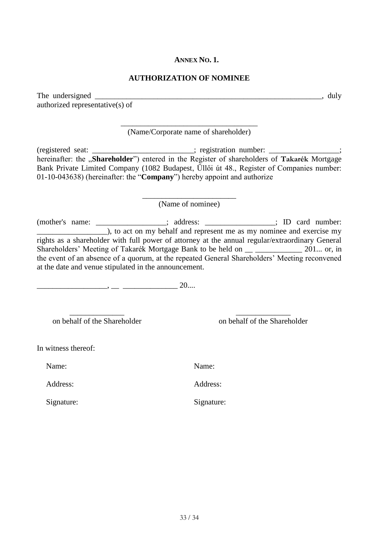### **ANNEX NO. 1.**

### **AUTHORIZATION OF NOMINEE**

The undersigned \_\_\_\_\_\_\_\_\_\_\_\_\_\_\_\_\_\_\_\_\_\_\_\_\_\_\_\_\_\_\_\_\_\_\_\_\_\_\_\_\_\_\_\_\_\_\_\_\_\_\_\_\_\_\_\_\_\_, duly authorized representative(s) of

> \_\_\_\_\_\_\_\_\_\_\_\_\_\_\_\_\_\_\_\_\_\_\_\_\_\_\_\_\_\_\_\_\_\_\_ (Name/Corporate name of shareholder)

(registered seat: \_\_\_\_\_\_\_\_\_\_\_\_\_\_\_\_\_\_\_\_\_\_\_; registration number: \_\_\_\_\_\_\_\_\_\_\_\_\_\_\_\_ hereinafter: the "**Shareholder**") entered in the Register of shareholders of **Takarék** Mortgage Bank Private Limited Company (1082 Budapest, Üllői út 48., Register of Companies number: 01-10-043638) (hereinafter: the "**Company**") hereby appoint and authorize

> \_\_\_\_\_\_\_\_\_\_\_\_\_\_\_\_\_\_\_\_\_\_\_\_ (Name of nominee)

(mother's name: \_\_\_\_\_\_\_\_\_\_\_\_\_\_\_\_\_\_; address: \_\_\_\_\_\_\_\_\_\_\_\_\_\_\_\_\_\_; ID card number: **EXECUTE:** (b), to act on my behalf and represent me as my nominee and exercise my rights as a shareholder with full power of attorney at the annual regular/extraordinary General Shareholders' Meeting of Takarék Mortgage Bank to be held on \_\_ \_\_\_\_\_\_\_\_\_\_\_\_ 201... or, in the event of an absence of a quorum, at the repeated General Shareholders' Meeting reconvened at the date and venue stipulated in the announcement.

 $\longrightarrow -$  20....

\_\_\_\_\_\_\_\_\_\_\_\_\_\_ \_\_\_\_\_\_\_\_\_\_\_\_\_\_

on behalf of the Shareholder on behalf of the Shareholder

In witness thereof:

Address: Address:

Signature: Signature: Signature:

Name: Name:

33 / 34